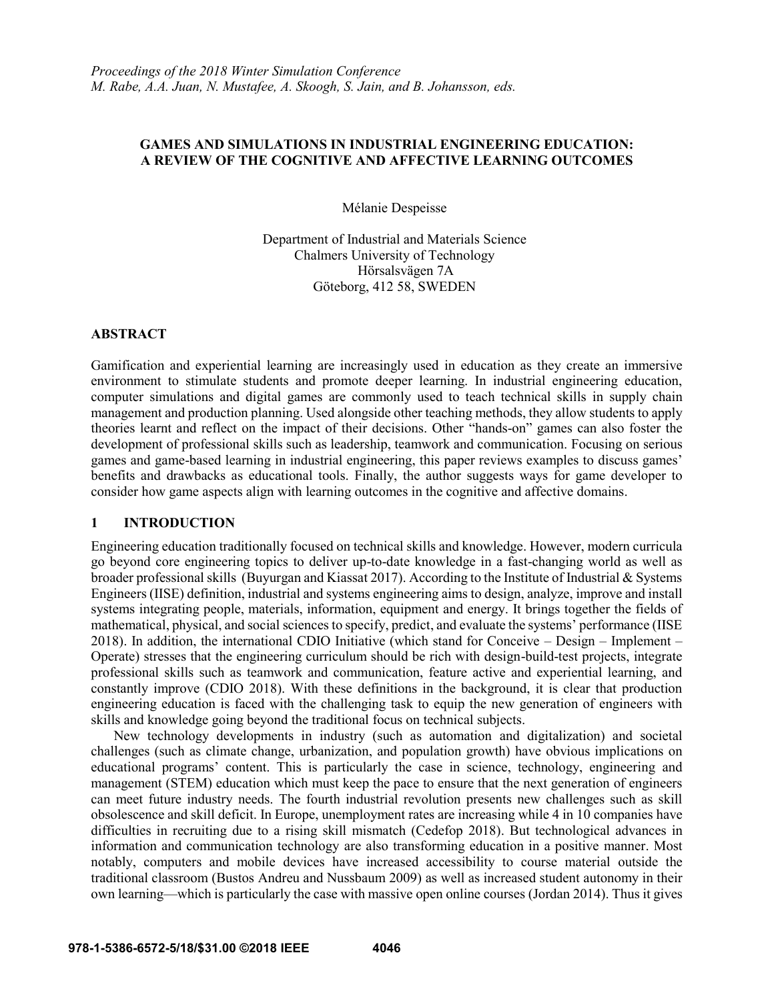# **GAMES AND SIMULATIONS IN INDUSTRIAL ENGINEERING EDUCATION: A REVIEW OF THE COGNITIVE AND AFFECTIVE LEARNING OUTCOMES**

Mélanie Despeisse

Department of Industrial and Materials Science Chalmers University of Technology Hörsalsvägen 7A Göteborg, 412 58, SWEDEN

## **ABSTRACT**

Gamification and experiential learning are increasingly used in education as they create an immersive environment to stimulate students and promote deeper learning. In industrial engineering education, computer simulations and digital games are commonly used to teach technical skills in supply chain management and production planning. Used alongside other teaching methods, they allow students to apply theories learnt and reflect on the impact of their decisions. Other "hands-on" games can also foster the development of professional skills such as leadership, teamwork and communication. Focusing on serious games and game-based learning in industrial engineering, this paper reviews examples to discuss games' benefits and drawbacks as educational tools. Finally, the author suggests ways for game developer to consider how game aspects align with learning outcomes in the cognitive and affective domains.

# **1 INTRODUCTION**

Engineering education traditionally focused on technical skills and knowledge. However, modern curricula go beyond core engineering topics to deliver up-to-date knowledge in a fast-changing world as well as broader professional skills (Buyurgan and Kiassat 2017). According to the Institute of Industrial & Systems Engineers (IISE) definition, industrial and systems engineering aims to design, analyze, improve and install systems integrating people, materials, information, equipment and energy. It brings together the fields of mathematical, physical, and social sciences to specify, predict, and evaluate the systems' performance (IISE 2018). In addition, the international CDIO Initiative (which stand for Conceive – Design – Implement – Operate) stresses that the engineering curriculum should be rich with design-build-test projects, integrate professional skills such as teamwork and communication, feature active and experiential learning, and constantly improve (CDIO 2018). With these definitions in the background, it is clear that production engineering education is faced with the challenging task to equip the new generation of engineers with skills and knowledge going beyond the traditional focus on technical subjects.

New technology developments in industry (such as automation and digitalization) and societal challenges (such as climate change, urbanization, and population growth) have obvious implications on educational programs' content. This is particularly the case in science, technology, engineering and management (STEM) education which must keep the pace to ensure that the next generation of engineers can meet future industry needs. The fourth industrial revolution presents new challenges such as skill obsolescence and skill deficit. In Europe, unemployment rates are increasing while 4 in 10 companies have difficulties in recruiting due to a rising skill mismatch (Cedefop 2018). But technological advances in information and communication technology are also transforming education in a positive manner. Most notably, computers and mobile devices have increased accessibility to course material outside the traditional classroom (Bustos Andreu and Nussbaum 2009) as well as increased student autonomy in their own learning—which is particularly the case with massive open online courses (Jordan 2014). Thus it gives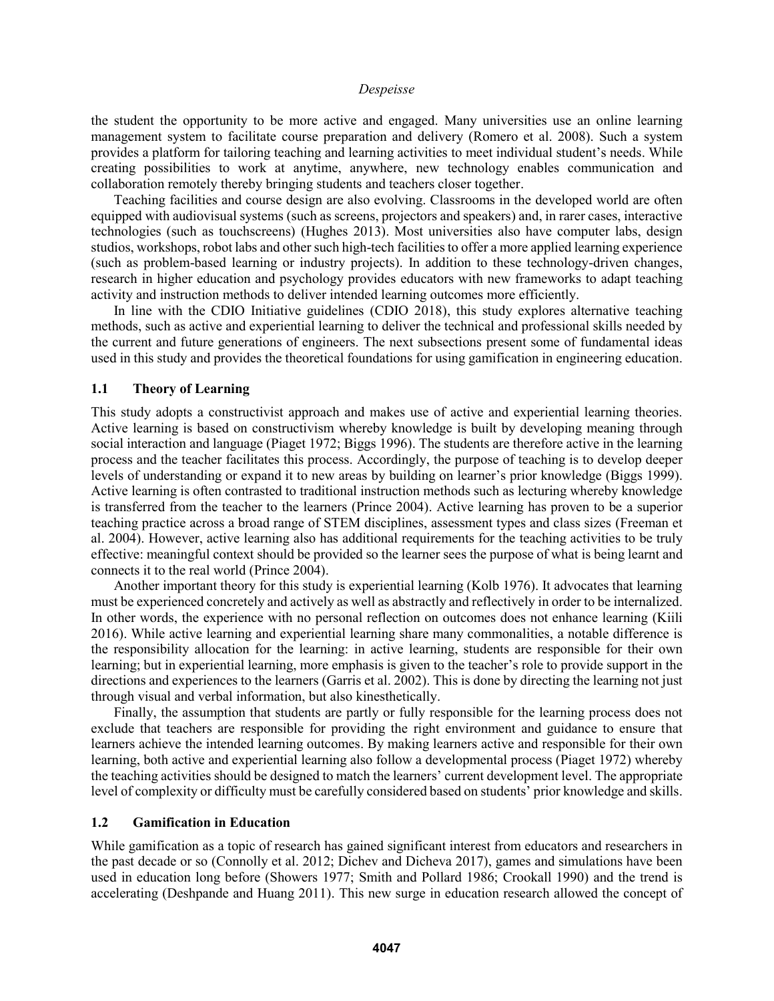the student the opportunity to be more active and engaged. Many universities use an online learning management system to facilitate course preparation and delivery (Romero et al. 2008). Such a system provides a platform for tailoring teaching and learning activities to meet individual student's needs. While creating possibilities to work at anytime, anywhere, new technology enables communication and collaboration remotely thereby bringing students and teachers closer together.

Teaching facilities and course design are also evolving. Classrooms in the developed world are often equipped with audiovisual systems (such as screens, projectors and speakers) and, in rarer cases, interactive technologies (such as touchscreens) (Hughes 2013). Most universities also have computer labs, design studios, workshops, robot labs and other such high-tech facilitiesto offer a more applied learning experience (such as problem-based learning or industry projects). In addition to these technology-driven changes, research in higher education and psychology provides educators with new frameworks to adapt teaching activity and instruction methods to deliver intended learning outcomes more efficiently.

In line with the CDIO Initiative guidelines (CDIO 2018), this study explores alternative teaching methods, such as active and experiential learning to deliver the technical and professional skills needed by the current and future generations of engineers. The next subsections present some of fundamental ideas used in this study and provides the theoretical foundations for using gamification in engineering education.

# **1.1 Theory of Learning**

This study adopts a constructivist approach and makes use of active and experiential learning theories. Active learning is based on constructivism whereby knowledge is built by developing meaning through social interaction and language (Piaget 1972; Biggs 1996). The students are therefore active in the learning process and the teacher facilitates this process. Accordingly, the purpose of teaching is to develop deeper levels of understanding or expand it to new areas by building on learner's prior knowledge (Biggs 1999). Active learning is often contrasted to traditional instruction methods such as lecturing whereby knowledge is transferred from the teacher to the learners (Prince 2004). Active learning has proven to be a superior teaching practice across a broad range of STEM disciplines, assessment types and class sizes (Freeman et al. 2004). However, active learning also has additional requirements for the teaching activities to be truly effective: meaningful context should be provided so the learner sees the purpose of what is being learnt and connects it to the real world (Prince 2004).

Another important theory for this study is experiential learning (Kolb 1976). It advocates that learning must be experienced concretely and actively as well as abstractly and reflectively in order to be internalized. In other words, the experience with no personal reflection on outcomes does not enhance learning (Kiili 2016). While active learning and experiential learning share many commonalities, a notable difference is the responsibility allocation for the learning: in active learning, students are responsible for their own learning; but in experiential learning, more emphasis is given to the teacher's role to provide support in the directions and experiences to the learners (Garris et al. 2002). This is done by directing the learning not just through visual and verbal information, but also kinesthetically.

Finally, the assumption that students are partly or fully responsible for the learning process does not exclude that teachers are responsible for providing the right environment and guidance to ensure that learners achieve the intended learning outcomes. By making learners active and responsible for their own learning, both active and experiential learning also follow a developmental process (Piaget 1972) whereby the teaching activities should be designed to match the learners' current development level. The appropriate level of complexity or difficulty must be carefully considered based on students' prior knowledge and skills.

## **1.2 Gamification in Education**

While gamification as a topic of research has gained significant interest from educators and researchers in the past decade or so (Connolly et al. 2012; Dichev and Dicheva 2017), games and simulations have been used in education long before (Showers 1977; Smith and Pollard 1986; Crookall 1990) and the trend is accelerating (Deshpande and Huang 2011). This new surge in education research allowed the concept of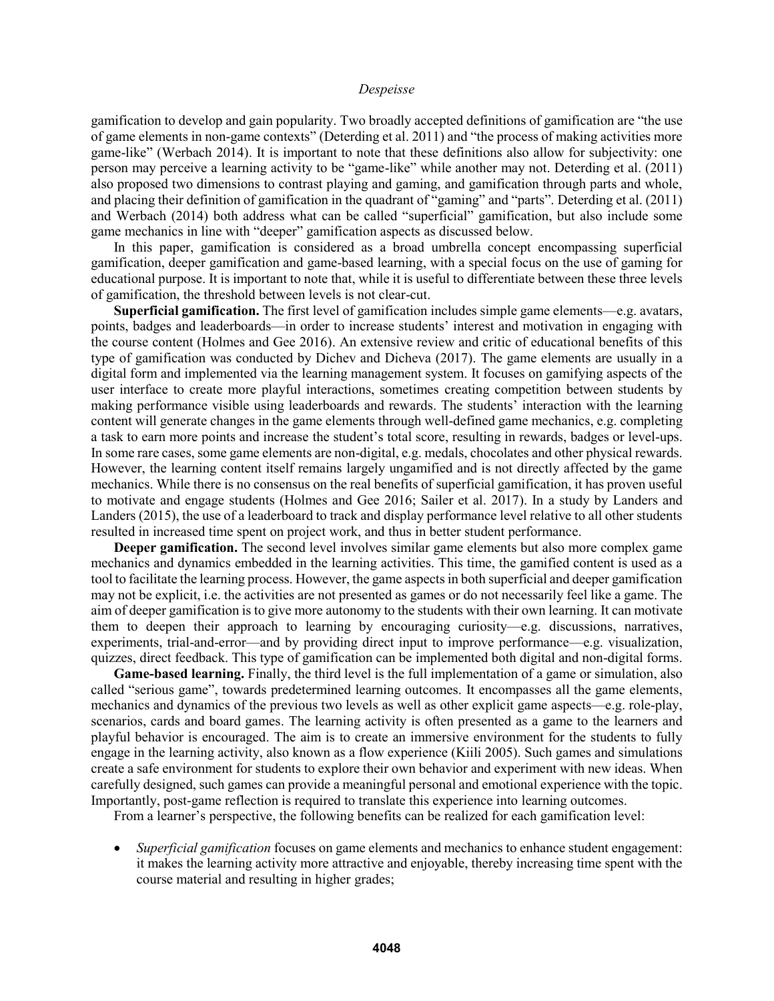gamification to develop and gain popularity. Two broadly accepted definitions of gamification are "the use of game elements in non-game contexts" (Deterding et al. 2011) and "the process of making activities more game-like" (Werbach 2014). It is important to note that these definitions also allow for subjectivity: one person may perceive a learning activity to be "game-like" while another may not. Deterding et al. (2011) also proposed two dimensions to contrast playing and gaming, and gamification through parts and whole, and placing their definition of gamification in the quadrant of "gaming" and "parts". Deterding et al. (2011) and Werbach (2014) both address what can be called "superficial" gamification, but also include some game mechanics in line with "deeper" gamification aspects as discussed below.

In this paper, gamification is considered as a broad umbrella concept encompassing superficial gamification, deeper gamification and game-based learning, with a special focus on the use of gaming for educational purpose. It is important to note that, while it is useful to differentiate between these three levels of gamification, the threshold between levels is not clear-cut.

**Superficial gamification.** The first level of gamification includes simple game elements—e.g. avatars, points, badges and leaderboards—in order to increase students' interest and motivation in engaging with the course content (Holmes and Gee 2016). An extensive review and critic of educational benefits of this type of gamification was conducted by Dichev and Dicheva (2017). The game elements are usually in a digital form and implemented via the learning management system. It focuses on gamifying aspects of the user interface to create more playful interactions, sometimes creating competition between students by making performance visible using leaderboards and rewards. The students' interaction with the learning content will generate changes in the game elements through well-defined game mechanics, e.g. completing a task to earn more points and increase the student's total score, resulting in rewards, badges or level-ups. In some rare cases, some game elements are non-digital, e.g. medals, chocolates and other physical rewards. However, the learning content itself remains largely ungamified and is not directly affected by the game mechanics. While there is no consensus on the real benefits of superficial gamification, it has proven useful to motivate and engage students (Holmes and Gee 2016; Sailer et al. 2017). In a study by Landers and Landers (2015), the use of a leaderboard to track and display performance level relative to all other students resulted in increased time spent on project work, and thus in better student performance.

**Deeper gamification.** The second level involves similar game elements but also more complex game mechanics and dynamics embedded in the learning activities. This time, the gamified content is used as a tool to facilitate the learning process. However, the game aspects in both superficial and deeper gamification may not be explicit, i.e. the activities are not presented as games or do not necessarily feel like a game. The aim of deeper gamification is to give more autonomy to the students with their own learning. It can motivate them to deepen their approach to learning by encouraging curiosity—e.g. discussions, narratives, experiments, trial-and-error—and by providing direct input to improve performance—e.g. visualization, quizzes, direct feedback. This type of gamification can be implemented both digital and non-digital forms.

**Game-based learning.** Finally, the third level is the full implementation of a game or simulation, also called "serious game", towards predetermined learning outcomes. It encompasses all the game elements, mechanics and dynamics of the previous two levels as well as other explicit game aspects—e.g. role-play, scenarios, cards and board games. The learning activity is often presented as a game to the learners and playful behavior is encouraged. The aim is to create an immersive environment for the students to fully engage in the learning activity, also known as a flow experience (Kiili 2005). Such games and simulations create a safe environment for students to explore their own behavior and experiment with new ideas. When carefully designed, such games can provide a meaningful personal and emotional experience with the topic. Importantly, post-game reflection is required to translate this experience into learning outcomes.

From a learner's perspective, the following benefits can be realized for each gamification level:

 *Superficial gamification* focuses on game elements and mechanics to enhance student engagement: it makes the learning activity more attractive and enjoyable, thereby increasing time spent with the course material and resulting in higher grades;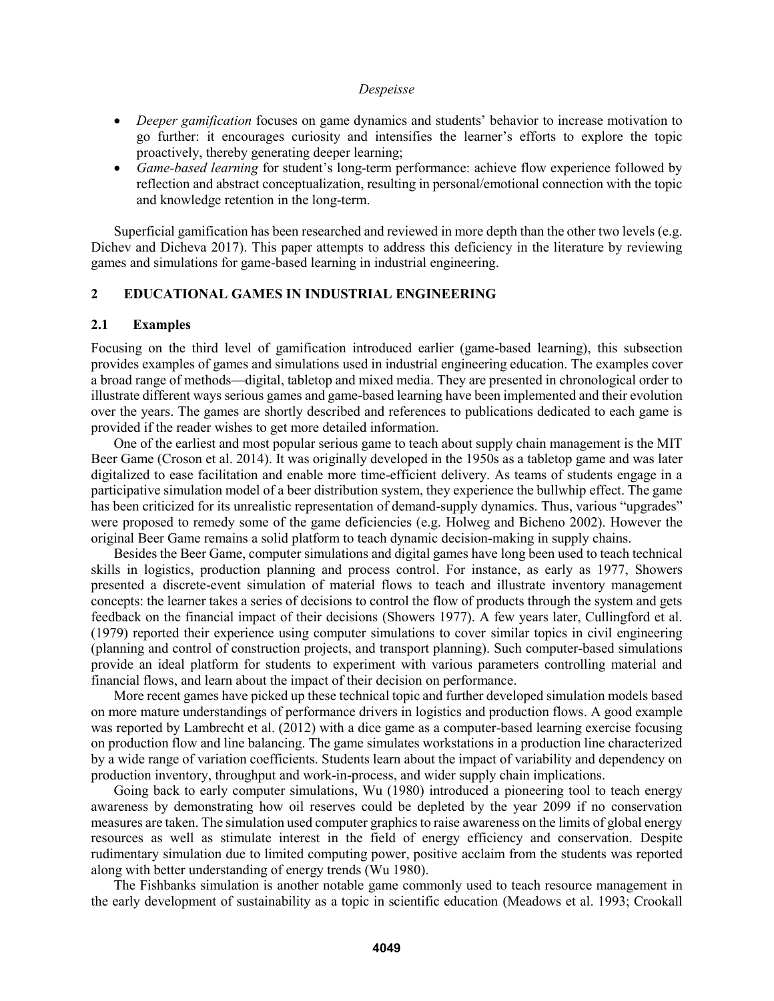- *Deeper gamification* focuses on game dynamics and students' behavior to increase motivation to go further: it encourages curiosity and intensifies the learner's efforts to explore the topic proactively, thereby generating deeper learning;
- *Game-based learning* for student's long-term performance: achieve flow experience followed by reflection and abstract conceptualization, resulting in personal/emotional connection with the topic and knowledge retention in the long-term.

Superficial gamification has been researched and reviewed in more depth than the other two levels (e.g. Dichev and Dicheva 2017). This paper attempts to address this deficiency in the literature by reviewing games and simulations for game-based learning in industrial engineering.

## **2 EDUCATIONAL GAMES IN INDUSTRIAL ENGINEERING**

#### **2.1 Examples**

Focusing on the third level of gamification introduced earlier (game-based learning), this subsection provides examples of games and simulations used in industrial engineering education. The examples cover a broad range of methods—digital, tabletop and mixed media. They are presented in chronological order to illustrate different ways serious games and game-based learning have been implemented and their evolution over the years. The games are shortly described and references to publications dedicated to each game is provided if the reader wishes to get more detailed information.

One of the earliest and most popular serious game to teach about supply chain management is the MIT Beer Game (Croson et al. 2014). It was originally developed in the 1950s as a tabletop game and was later digitalized to ease facilitation and enable more time-efficient delivery. As teams of students engage in a participative simulation model of a beer distribution system, they experience the bullwhip effect. The game has been criticized for its unrealistic representation of demand-supply dynamics. Thus, various "upgrades" were proposed to remedy some of the game deficiencies (e.g. Holweg and Bicheno 2002). However the original Beer Game remains a solid platform to teach dynamic decision-making in supply chains.

Besides the Beer Game, computer simulations and digital games have long been used to teach technical skills in logistics, production planning and process control. For instance, as early as 1977, Showers presented a discrete-event simulation of material flows to teach and illustrate inventory management concepts: the learner takes a series of decisions to control the flow of products through the system and gets feedback on the financial impact of their decisions (Showers 1977). A few years later, Cullingford et al. (1979) reported their experience using computer simulations to cover similar topics in civil engineering (planning and control of construction projects, and transport planning). Such computer-based simulations provide an ideal platform for students to experiment with various parameters controlling material and financial flows, and learn about the impact of their decision on performance.

More recent games have picked up these technical topic and further developed simulation models based on more mature understandings of performance drivers in logistics and production flows. A good example was reported by Lambrecht et al. (2012) with a dice game as a computer-based learning exercise focusing on production flow and line balancing. The game simulates workstations in a production line characterized by a wide range of variation coefficients. Students learn about the impact of variability and dependency on production inventory, throughput and work-in-process, and wider supply chain implications.

Going back to early computer simulations, Wu (1980) introduced a pioneering tool to teach energy awareness by demonstrating how oil reserves could be depleted by the year 2099 if no conservation measures are taken. The simulation used computer graphics to raise awareness on the limits of global energy resources as well as stimulate interest in the field of energy efficiency and conservation. Despite rudimentary simulation due to limited computing power, positive acclaim from the students was reported along with better understanding of energy trends (Wu 1980).

The Fishbanks simulation is another notable game commonly used to teach resource management in the early development of sustainability as a topic in scientific education (Meadows et al. 1993; Crookall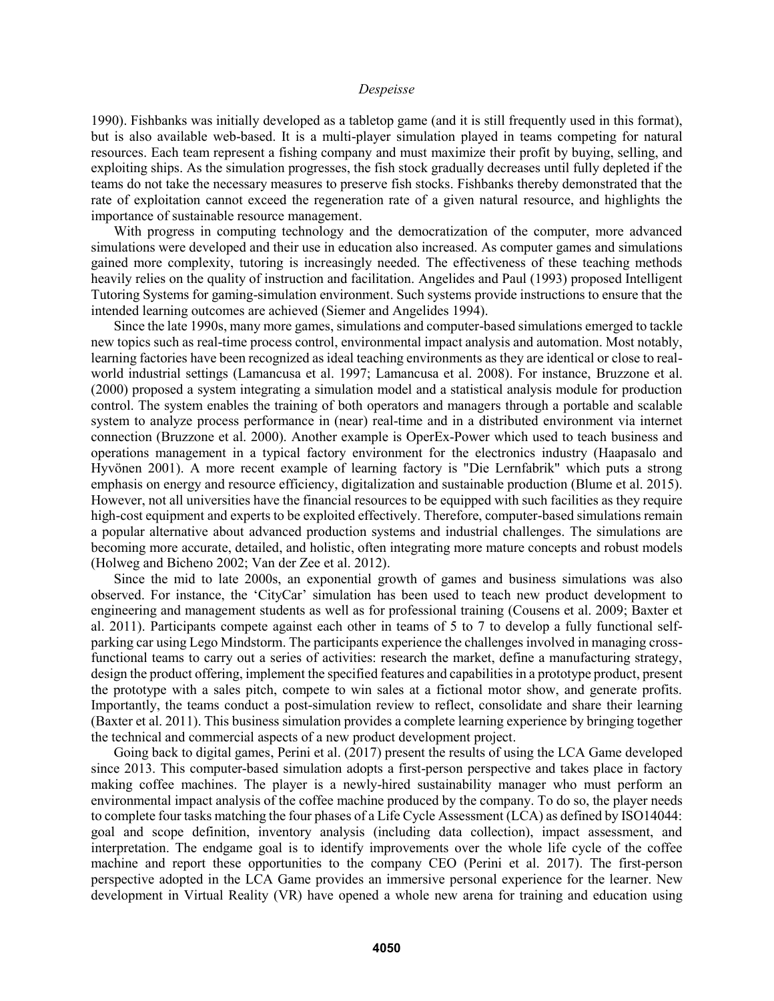1990). Fishbanks was initially developed as a tabletop game (and it is still frequently used in this format), but is also available web-based. It is a multi-player simulation played in teams competing for natural resources. Each team represent a fishing company and must maximize their profit by buying, selling, and exploiting ships. As the simulation progresses, the fish stock gradually decreases until fully depleted if the teams do not take the necessary measures to preserve fish stocks. Fishbanks thereby demonstrated that the rate of exploitation cannot exceed the regeneration rate of a given natural resource, and highlights the importance of sustainable resource management.

With progress in computing technology and the democratization of the computer, more advanced simulations were developed and their use in education also increased. As computer games and simulations gained more complexity, tutoring is increasingly needed. The effectiveness of these teaching methods heavily relies on the quality of instruction and facilitation. Angelides and Paul (1993) proposed Intelligent Tutoring Systems for gaming-simulation environment. Such systems provide instructions to ensure that the intended learning outcomes are achieved (Siemer and Angelides 1994).

Since the late 1990s, many more games, simulations and computer-based simulations emerged to tackle new topics such as real-time process control, environmental impact analysis and automation. Most notably, learning factories have been recognized as ideal teaching environments as they are identical or close to realworld industrial settings (Lamancusa et al. 1997; Lamancusa et al. 2008). For instance, Bruzzone et al. (2000) proposed a system integrating a simulation model and a statistical analysis module for production control. The system enables the training of both operators and managers through a portable and scalable system to analyze process performance in (near) real-time and in a distributed environment via internet connection (Bruzzone et al. 2000). Another example is OperEx-Power which used to teach business and operations management in a typical factory environment for the electronics industry (Haapasalo and Hyvönen 2001). A more recent example of learning factory is "Die Lernfabrik" which puts a strong emphasis on energy and resource efficiency, digitalization and sustainable production (Blume et al. 2015). However, not all universities have the financial resources to be equipped with such facilities as they require high-cost equipment and experts to be exploited effectively. Therefore, computer-based simulations remain a popular alternative about advanced production systems and industrial challenges. The simulations are becoming more accurate, detailed, and holistic, often integrating more mature concepts and robust models (Holweg and Bicheno 2002; Van der Zee et al. 2012).

Since the mid to late 2000s, an exponential growth of games and business simulations was also observed. For instance, the 'CityCar' simulation has been used to teach new product development to engineering and management students as well as for professional training (Cousens et al. 2009; Baxter et al. 2011). Participants compete against each other in teams of 5 to 7 to develop a fully functional selfparking car using Lego Mindstorm. The participants experience the challenges involved in managing crossfunctional teams to carry out a series of activities: research the market, define a manufacturing strategy, design the product offering, implement the specified features and capabilities in a prototype product, present the prototype with a sales pitch, compete to win sales at a fictional motor show, and generate profits. Importantly, the teams conduct a post-simulation review to reflect, consolidate and share their learning (Baxter et al. 2011). This business simulation provides a complete learning experience by bringing together the technical and commercial aspects of a new product development project.

Going back to digital games, Perini et al. (2017) present the results of using the LCA Game developed since 2013. This computer-based simulation adopts a first-person perspective and takes place in factory making coffee machines. The player is a newly-hired sustainability manager who must perform an environmental impact analysis of the coffee machine produced by the company. To do so, the player needs to complete four tasks matching the four phases of a Life Cycle Assessment (LCA) as defined by ISO14044: goal and scope definition, inventory analysis (including data collection), impact assessment, and interpretation. The endgame goal is to identify improvements over the whole life cycle of the coffee machine and report these opportunities to the company CEO (Perini et al. 2017). The first-person perspective adopted in the LCA Game provides an immersive personal experience for the learner. New development in Virtual Reality (VR) have opened a whole new arena for training and education using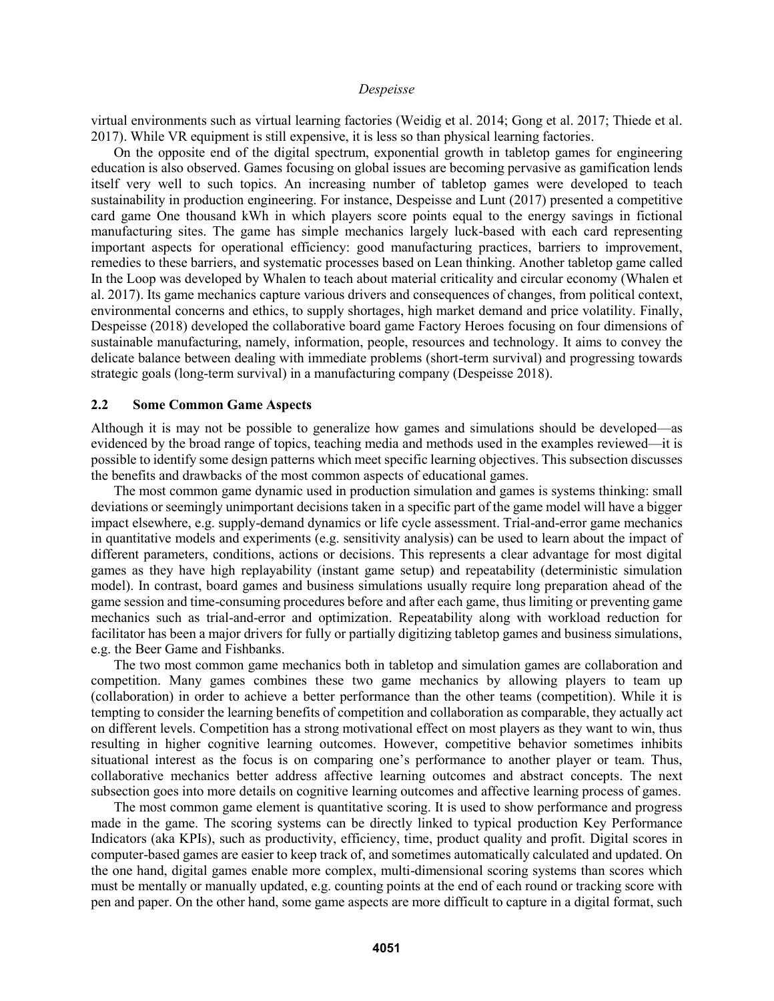virtual environments such as virtual learning factories (Weidig et al. 2014; Gong et al. 2017; Thiede et al. 2017). While VR equipment is still expensive, it is less so than physical learning factories.

On the opposite end of the digital spectrum, exponential growth in tabletop games for engineering education is also observed. Games focusing on global issues are becoming pervasive as gamification lends itself very well to such topics. An increasing number of tabletop games were developed to teach sustainability in production engineering. For instance, Despeisse and Lunt (2017) presented a competitive card game One thousand kWh in which players score points equal to the energy savings in fictional manufacturing sites. The game has simple mechanics largely luck-based with each card representing important aspects for operational efficiency: good manufacturing practices, barriers to improvement, remedies to these barriers, and systematic processes based on Lean thinking. Another tabletop game called In the Loop was developed by Whalen to teach about material criticality and circular economy (Whalen et al. 2017). Its game mechanics capture various drivers and consequences of changes, from political context, environmental concerns and ethics, to supply shortages, high market demand and price volatility. Finally, Despeisse (2018) developed the collaborative board game Factory Heroes focusing on four dimensions of sustainable manufacturing, namely, information, people, resources and technology. It aims to convey the delicate balance between dealing with immediate problems (short-term survival) and progressing towards strategic goals (long-term survival) in a manufacturing company (Despeisse 2018).

### **2.2 Some Common Game Aspects**

Although it is may not be possible to generalize how games and simulations should be developed—as evidenced by the broad range of topics, teaching media and methods used in the examples reviewed—it is possible to identify some design patterns which meet specific learning objectives. This subsection discusses the benefits and drawbacks of the most common aspects of educational games.

The most common game dynamic used in production simulation and games is systems thinking: small deviations or seemingly unimportant decisions taken in a specific part of the game model will have a bigger impact elsewhere, e.g. supply-demand dynamics or life cycle assessment. Trial-and-error game mechanics in quantitative models and experiments (e.g. sensitivity analysis) can be used to learn about the impact of different parameters, conditions, actions or decisions. This represents a clear advantage for most digital games as they have high replayability (instant game setup) and repeatability (deterministic simulation model). In contrast, board games and business simulations usually require long preparation ahead of the game session and time-consuming procedures before and after each game, thus limiting or preventing game mechanics such as trial-and-error and optimization. Repeatability along with workload reduction for facilitator has been a major drivers for fully or partially digitizing tabletop games and business simulations, e.g. the Beer Game and Fishbanks.

The two most common game mechanics both in tabletop and simulation games are collaboration and competition. Many games combines these two game mechanics by allowing players to team up (collaboration) in order to achieve a better performance than the other teams (competition). While it is tempting to consider the learning benefits of competition and collaboration as comparable, they actually act on different levels. Competition has a strong motivational effect on most players as they want to win, thus resulting in higher cognitive learning outcomes. However, competitive behavior sometimes inhibits situational interest as the focus is on comparing one's performance to another player or team. Thus, collaborative mechanics better address affective learning outcomes and abstract concepts. The next subsection goes into more details on cognitive learning outcomes and affective learning process of games.

The most common game element is quantitative scoring. It is used to show performance and progress made in the game. The scoring systems can be directly linked to typical production Key Performance Indicators (aka KPIs), such as productivity, efficiency, time, product quality and profit. Digital scores in computer-based games are easier to keep track of, and sometimes automatically calculated and updated. On the one hand, digital games enable more complex, multi-dimensional scoring systems than scores which must be mentally or manually updated, e.g. counting points at the end of each round or tracking score with pen and paper. On the other hand, some game aspects are more difficult to capture in a digital format, such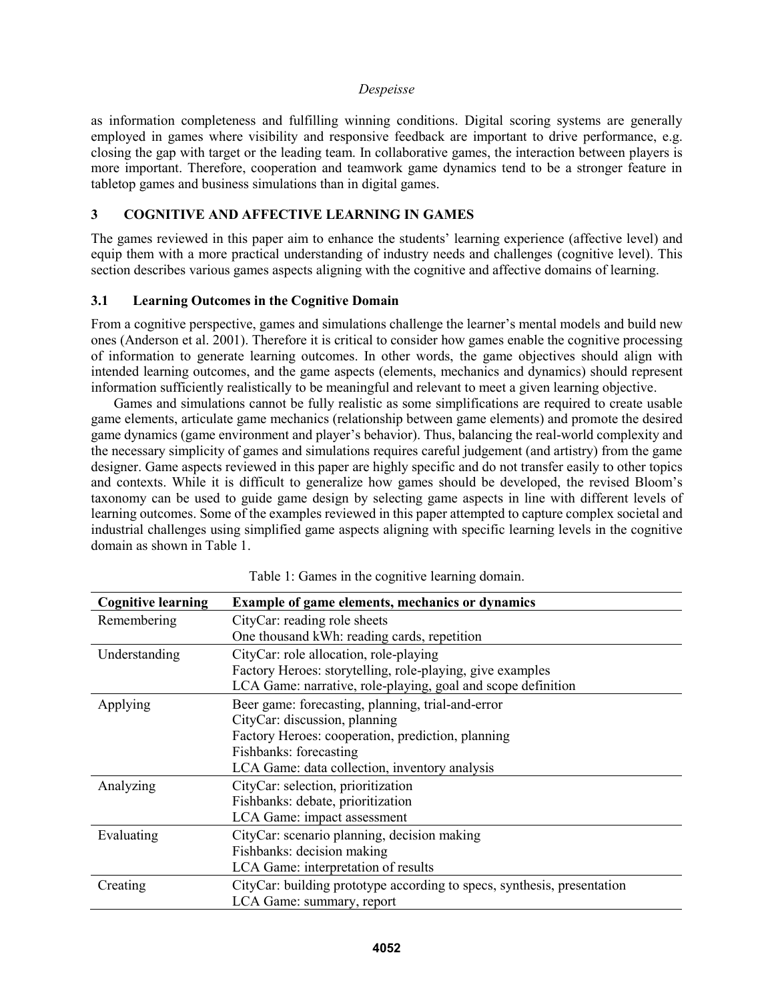as information completeness and fulfilling winning conditions. Digital scoring systems are generally employed in games where visibility and responsive feedback are important to drive performance, e.g. closing the gap with target or the leading team. In collaborative games, the interaction between players is more important. Therefore, cooperation and teamwork game dynamics tend to be a stronger feature in tabletop games and business simulations than in digital games.

# **3 COGNITIVE AND AFFECTIVE LEARNING IN GAMES**

The games reviewed in this paper aim to enhance the students' learning experience (affective level) and equip them with a more practical understanding of industry needs and challenges (cognitive level). This section describes various games aspects aligning with the cognitive and affective domains of learning.

# **3.1 Learning Outcomes in the Cognitive Domain**

From a cognitive perspective, games and simulations challenge the learner's mental models and build new ones (Anderson et al. 2001). Therefore it is critical to consider how games enable the cognitive processing of information to generate learning outcomes. In other words, the game objectives should align with intended learning outcomes, and the game aspects (elements, mechanics and dynamics) should represent information sufficiently realistically to be meaningful and relevant to meet a given learning objective.

Games and simulations cannot be fully realistic as some simplifications are required to create usable game elements, articulate game mechanics (relationship between game elements) and promote the desired game dynamics (game environment and player's behavior). Thus, balancing the real-world complexity and the necessary simplicity of games and simulations requires careful judgement (and artistry) from the game designer. Game aspects reviewed in this paper are highly specific and do not transfer easily to other topics and contexts. While it is difficult to generalize how games should be developed, the revised Bloom's taxonomy can be used to guide game design by selecting game aspects in line with different levels of learning outcomes. Some of the examples reviewed in this paper attempted to capture complex societal and industrial challenges using simplified game aspects aligning with specific learning levels in the cognitive domain as shown in Table 1.

| <b>Cognitive learning</b> | <b>Example of game elements, mechanics or dynamics</b>                                                                                                                                                             |  |  |  |  |
|---------------------------|--------------------------------------------------------------------------------------------------------------------------------------------------------------------------------------------------------------------|--|--|--|--|
| Remembering               | CityCar: reading role sheets<br>One thousand kWh: reading cards, repetition                                                                                                                                        |  |  |  |  |
| Understanding             | CityCar: role allocation, role-playing<br>Factory Heroes: storytelling, role-playing, give examples<br>LCA Game: narrative, role-playing, goal and scope definition                                                |  |  |  |  |
| Applying                  | Beer game: forecasting, planning, trial-and-error<br>CityCar: discussion, planning<br>Factory Heroes: cooperation, prediction, planning<br>Fishbanks: forecasting<br>LCA Game: data collection, inventory analysis |  |  |  |  |
| Analyzing                 | CityCar: selection, prioritization<br>Fishbanks: debate, prioritization<br>LCA Game: impact assessment                                                                                                             |  |  |  |  |
| Evaluating                | CityCar: scenario planning, decision making<br>Fishbanks: decision making<br>LCA Game: interpretation of results                                                                                                   |  |  |  |  |
| Creating                  | CityCar: building prototype according to specs, synthesis, presentation<br>LCA Game: summary, report                                                                                                               |  |  |  |  |

Table 1: Games in the cognitive learning domain.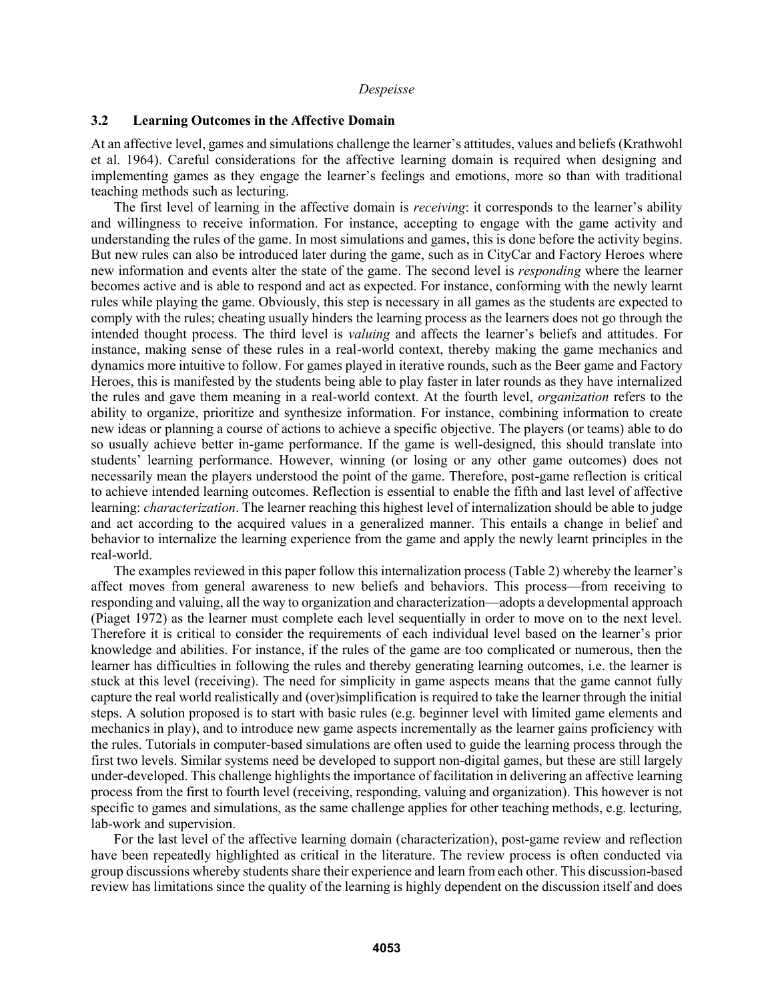### **3.2 Learning Outcomes in the Affective Domain**

At an affective level, games and simulations challenge the learner's attitudes, values and beliefs (Krathwohl et al. 1964). Careful considerations for the affective learning domain is required when designing and implementing games as they engage the learner's feelings and emotions, more so than with traditional teaching methods such as lecturing.

The first level of learning in the affective domain is *receiving*: it corresponds to the learner's ability and willingness to receive information. For instance, accepting to engage with the game activity and understanding the rules of the game. In most simulations and games, this is done before the activity begins. But new rules can also be introduced later during the game, such as in CityCar and Factory Heroes where new information and events alter the state of the game. The second level is *responding* where the learner becomes active and is able to respond and act as expected. For instance, conforming with the newly learnt rules while playing the game. Obviously, this step is necessary in all games as the students are expected to comply with the rules; cheating usually hinders the learning process as the learners does not go through the intended thought process. The third level is *valuing* and affects the learner's beliefs and attitudes. For instance, making sense of these rules in a real-world context, thereby making the game mechanics and dynamics more intuitive to follow. For games played in iterative rounds, such as the Beer game and Factory Heroes, this is manifested by the students being able to play faster in later rounds as they have internalized the rules and gave them meaning in a real-world context. At the fourth level, *organization* refers to the ability to organize, prioritize and synthesize information. For instance, combining information to create new ideas or planning a course of actions to achieve a specific objective. The players (or teams) able to do so usually achieve better in-game performance. If the game is well-designed, this should translate into students' learning performance. However, winning (or losing or any other game outcomes) does not necessarily mean the players understood the point of the game. Therefore, post-game reflection is critical to achieve intended learning outcomes. Reflection is essential to enable the fifth and last level of affective learning: *characterization*. The learner reaching this highest level of internalization should be able to judge and act according to the acquired values in a generalized manner. This entails a change in belief and behavior to internalize the learning experience from the game and apply the newly learnt principles in the real-world.

The examples reviewed in this paper follow this internalization process (Table 2) whereby the learner's affect moves from general awareness to new beliefs and behaviors. This process—from receiving to responding and valuing, all the way to organization and characterization—adopts a developmental approach (Piaget 1972) as the learner must complete each level sequentially in order to move on to the next level. Therefore it is critical to consider the requirements of each individual level based on the learner's prior knowledge and abilities. For instance, if the rules of the game are too complicated or numerous, then the learner has difficulties in following the rules and thereby generating learning outcomes, i.e. the learner is stuck at this level (receiving). The need for simplicity in game aspects means that the game cannot fully capture the real world realistically and (over)simplification is required to take the learner through the initial steps. A solution proposed is to start with basic rules (e.g. beginner level with limited game elements and mechanics in play), and to introduce new game aspects incrementally as the learner gains proficiency with the rules. Tutorials in computer-based simulations are often used to guide the learning process through the first two levels. Similar systems need be developed to support non-digital games, but these are still largely under-developed. This challenge highlights the importance of facilitation in delivering an affective learning process from the first to fourth level (receiving, responding, valuing and organization). This however is not specific to games and simulations, as the same challenge applies for other teaching methods, e.g. lecturing, lab-work and supervision.

For the last level of the affective learning domain (characterization), post-game review and reflection have been repeatedly highlighted as critical in the literature. The review process is often conducted via group discussions whereby students share their experience and learn from each other. This discussion-based review has limitations since the quality of the learning is highly dependent on the discussion itself and does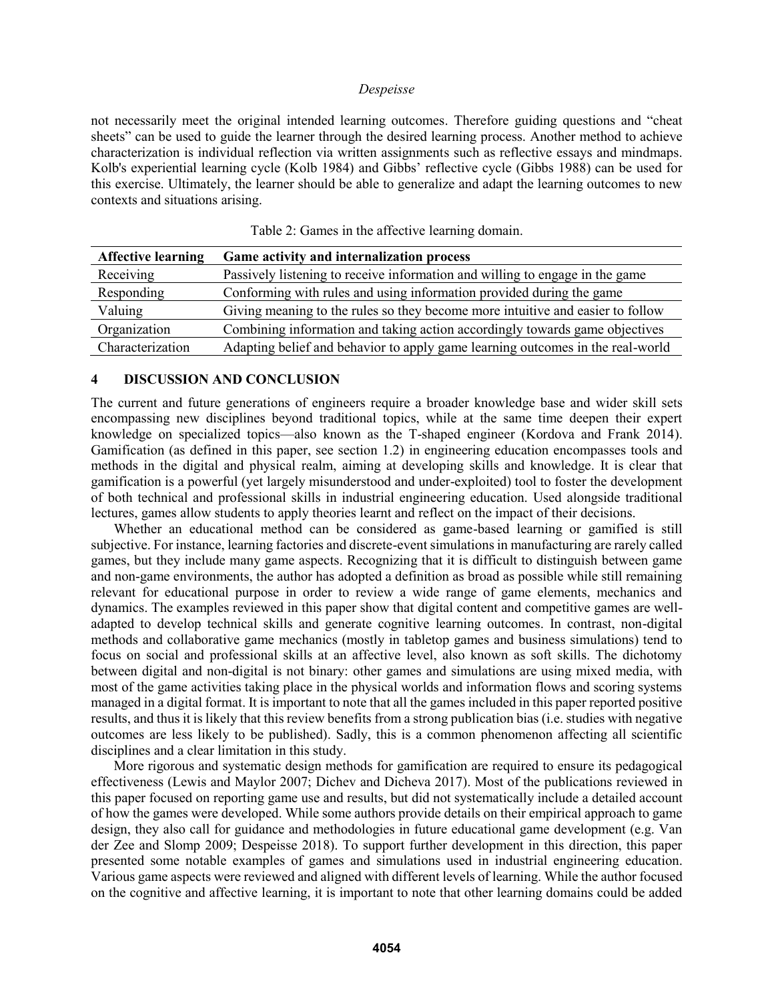not necessarily meet the original intended learning outcomes. Therefore guiding questions and "cheat sheets" can be used to guide the learner through the desired learning process. Another method to achieve characterization is individual reflection via written assignments such as reflective essays and mindmaps. Kolb's experiential learning cycle (Kolb 1984) and Gibbs' reflective cycle (Gibbs 1988) can be used for this exercise. Ultimately, the learner should be able to generalize and adapt the learning outcomes to new contexts and situations arising.

| <b>Affective learning</b> | Game activity and internalization process                                      |
|---------------------------|--------------------------------------------------------------------------------|
| Receiving                 | Passively listening to receive information and willing to engage in the game   |
| Responding                | Conforming with rules and using information provided during the game           |
| Valuing                   | Giving meaning to the rules so they become more intuitive and easier to follow |
| Organization              | Combining information and taking action accordingly towards game objectives    |
| Characterization          | Adapting belief and behavior to apply game learning outcomes in the real-world |

|  |  | Table 2: Games in the affective learning domain. |  |
|--|--|--------------------------------------------------|--|
|  |  |                                                  |  |

#### **4 DISCUSSION AND CONCLUSION**

The current and future generations of engineers require a broader knowledge base and wider skill sets encompassing new disciplines beyond traditional topics, while at the same time deepen their expert knowledge on specialized topics—also known as the T-shaped engineer (Kordova and Frank 2014). Gamification (as defined in this paper, see section 1.2) in engineering education encompasses tools and methods in the digital and physical realm, aiming at developing skills and knowledge. It is clear that gamification is a powerful (yet largely misunderstood and under-exploited) tool to foster the development of both technical and professional skills in industrial engineering education. Used alongside traditional lectures, games allow students to apply theories learnt and reflect on the impact of their decisions.

Whether an educational method can be considered as game-based learning or gamified is still subjective. For instance, learning factories and discrete-event simulations in manufacturing are rarely called games, but they include many game aspects. Recognizing that it is difficult to distinguish between game and non-game environments, the author has adopted a definition as broad as possible while still remaining relevant for educational purpose in order to review a wide range of game elements, mechanics and dynamics. The examples reviewed in this paper show that digital content and competitive games are welladapted to develop technical skills and generate cognitive learning outcomes. In contrast, non-digital methods and collaborative game mechanics (mostly in tabletop games and business simulations) tend to focus on social and professional skills at an affective level, also known as soft skills. The dichotomy between digital and non-digital is not binary: other games and simulations are using mixed media, with most of the game activities taking place in the physical worlds and information flows and scoring systems managed in a digital format. It is important to note that all the games included in this paper reported positive results, and thus it is likely that this review benefits from a strong publication bias (i.e. studies with negative outcomes are less likely to be published). Sadly, this is a common phenomenon affecting all scientific disciplines and a clear limitation in this study.

More rigorous and systematic design methods for gamification are required to ensure its pedagogical effectiveness (Lewis and Maylor 2007; Dichev and Dicheva 2017). Most of the publications reviewed in this paper focused on reporting game use and results, but did not systematically include a detailed account of how the games were developed. While some authors provide details on their empirical approach to game design, they also call for guidance and methodologies in future educational game development (e.g. Van der Zee and Slomp 2009; Despeisse 2018). To support further development in this direction, this paper presented some notable examples of games and simulations used in industrial engineering education. Various game aspects were reviewed and aligned with different levels of learning. While the author focused on the cognitive and affective learning, it is important to note that other learning domains could be added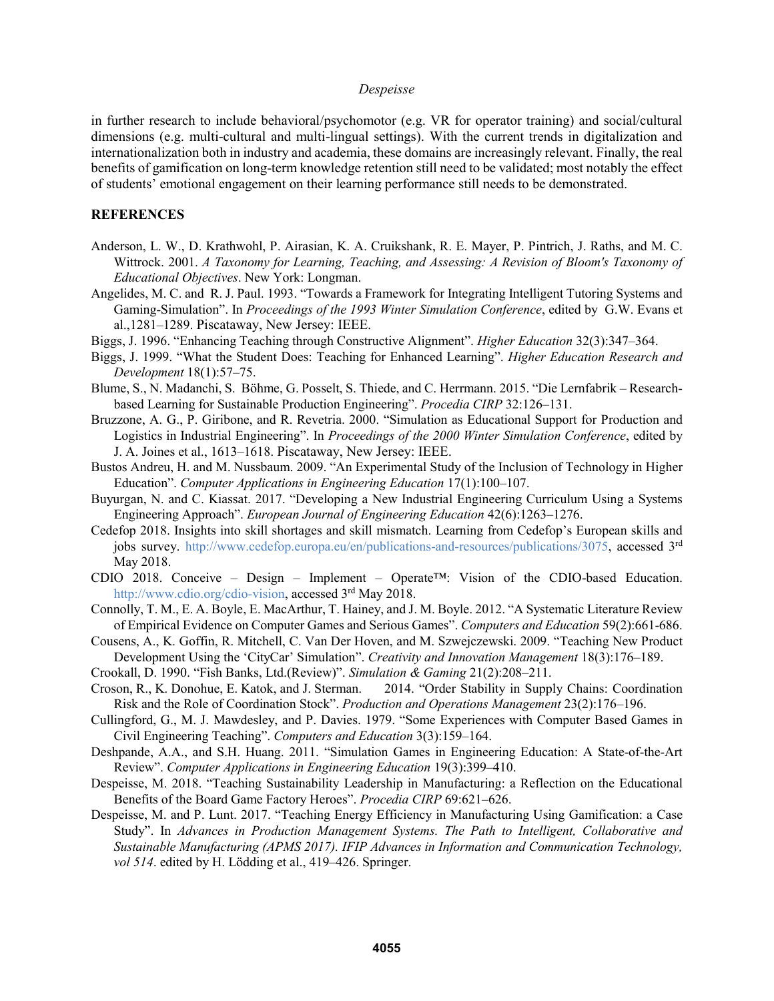in further research to include behavioral/psychomotor (e.g. VR for operator training) and social/cultural dimensions (e.g. multi-cultural and multi-lingual settings). With the current trends in digitalization and internationalization both in industry and academia, these domains are increasingly relevant. Finally, the real benefits of gamification on long-term knowledge retention still need to be validated; most notably the effect of students' emotional engagement on their learning performance still needs to be demonstrated.

## **REFERENCES**

- Anderson, L. W., D. Krathwohl, P. Airasian, K. A. Cruikshank, R. E. Mayer, P. Pintrich, J. Raths, and M. C. Wittrock. 2001. *A Taxonomy for Learning, Teaching, and Assessing: A Revision of Bloom's Taxonomy of Educational Objectives*. New York: Longman.
- Angelides, M. C. and R. J. Paul. 1993. "Towards a Framework for Integrating Intelligent Tutoring Systems and Gaming-Simulation". In *Proceedings of the 1993 Winter Simulation Conference*, edited by G.W. Evans et al.,1281–1289. Piscataway, New Jersey: IEEE.
- Biggs, J. 1996. "Enhancing Teaching through Constructive Alignment". *Higher Education* 32(3):347–364.
- Biggs, J. 1999. "What the Student Does: Teaching for Enhanced Learning". *Higher Education Research and Development* 18(1):57–75.
- Blume, S., N. Madanchi, S. Böhme, G. Posselt, S. Thiede, and C. Herrmann. 2015. "Die Lernfabrik Researchbased Learning for Sustainable Production Engineering". *Procedia CIRP* 32:126–131.
- Bruzzone, A. G., P. Giribone, and R. Revetria. 2000. "Simulation as Educational Support for Production and Logistics in Industrial Engineering". In *Proceedings of the 2000 Winter Simulation Conference*, edited by J. A. Joines et al., 1613–1618. Piscataway, New Jersey: IEEE.
- Bustos Andreu, H. and M. Nussbaum. 2009. "An Experimental Study of the Inclusion of Technology in Higher Education". *Computer Applications in Engineering Education* 17(1):100–107.
- Buyurgan, N. and C. Kiassat. 2017. "Developing a New Industrial Engineering Curriculum Using a Systems Engineering Approach". *European Journal of Engineering Education* 42(6):1263–1276.
- Cedefop 2018. Insights into skill shortages and skill mismatch. Learning from Cedefop's European skills and jobs survey. http://www.cedefop.europa.eu/en/publications-and-resources/publications/3075, accessed 3<sup>rd</sup> May 2018.
- CDIO 2018. Conceive Design Implement Operate<sup>™</sup>: Vision of the CDIO-based Education. http://www.cdio.org/cdio-vision, accessed 3rd May 2018.
- Connolly, T. M., E. A. Boyle, E. MacArthur, T. Hainey, and J. M. Boyle. 2012. "A Systematic Literature Review of Empirical Evidence on Computer Games and Serious Games". *Computers and Education* 59(2):661-686.
- Cousens, A., K. Goffin, R. Mitchell, C. Van Der Hoven, and M. Szwejczewski. 2009. "Teaching New Product Development Using the 'CityCar' Simulation". *Creativity and Innovation Management* 18(3):176–189.
- Crookall, D. 1990. "Fish Banks, Ltd.(Review)". *Simulation & Gaming* 21(2):208–211.
- Croson, R., K. Donohue, E. Katok, and J. Sterman. 2014. "Order Stability in Supply Chains: Coordination Risk and the Role of Coordination Stock". *Production and Operations Management* 23(2):176–196.
- Cullingford, G., M. J. Mawdesley, and P. Davies. 1979. "Some Experiences with Computer Based Games in Civil Engineering Teaching". *Computers and Education* 3(3):159–164.
- Deshpande, A.A., and S.H. Huang. 2011. "Simulation Games in Engineering Education: A State-of-the-Art Review". *Computer Applications in Engineering Education* 19(3):399–410.
- Despeisse, M. 2018. "Teaching Sustainability Leadership in Manufacturing: a Reflection on the Educational Benefits of the Board Game Factory Heroes". *Procedia CIRP* 69:621–626.
- Despeisse, M. and P. Lunt. 2017. "Teaching Energy Efficiency in Manufacturing Using Gamification: a Case Study". In *Advances in Production Management Systems. The Path to Intelligent, Collaborative and Sustainable Manufacturing (APMS 2017). IFIP Advances in Information and Communication Technology, vol 514*. edited by H. Lödding et al., 419–426. Springer.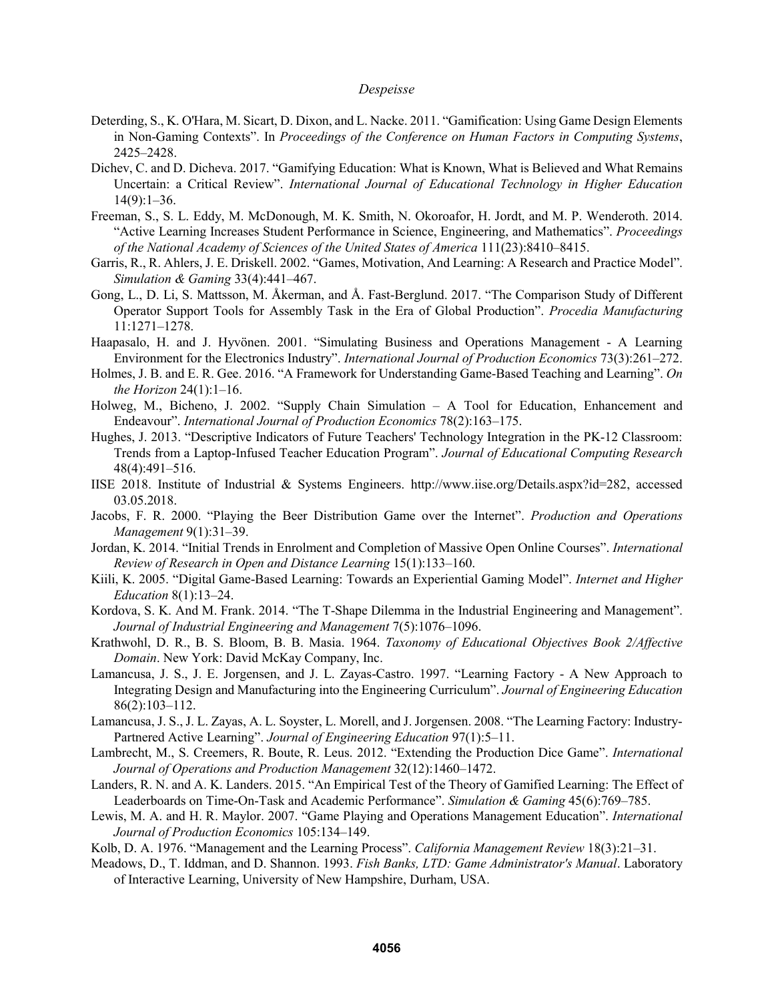- Deterding, S., K. O'Hara, M. Sicart, D. Dixon, and L. Nacke. 2011. "Gamification: Using Game Design Elements in Non-Gaming Contexts". In *Proceedings of the Conference on Human Factors in Computing Systems*, 2425–2428.
- Dichev, C. and D. Dicheva. 2017. "Gamifying Education: What is Known, What is Believed and What Remains Uncertain: a Critical Review". *International Journal of Educational Technology in Higher Education*   $14(9):1-36.$
- Freeman, S., S. L. Eddy, M. McDonough, M. K. Smith, N. Okoroafor, H. Jordt, and M. P. Wenderoth. 2014. "Active Learning Increases Student Performance in Science, Engineering, and Mathematics". *Proceedings of the National Academy of Sciences of the United States of America* 111(23):8410–8415.
- Garris, R., R. Ahlers, J. E. Driskell. 2002. "Games, Motivation, And Learning: A Research and Practice Model". *Simulation & Gaming* 33(4):441–467.
- Gong, L., D. Li, S. Mattsson, M. Åkerman, and Å. Fast-Berglund. 2017. "The Comparison Study of Different Operator Support Tools for Assembly Task in the Era of Global Production". *Procedia Manufacturing*  11:1271–1278.
- Haapasalo, H. and J. Hyvönen. 2001. "Simulating Business and Operations Management A Learning Environment for the Electronics Industry". *International Journal of Production Economics* 73(3):261–272.
- Holmes, J. B. and E. R. Gee. 2016. "A Framework for Understanding Game-Based Teaching and Learning". *On the Horizon* 24(1):1–16.
- Holweg, M., Bicheno, J. 2002. "Supply Chain Simulation A Tool for Education, Enhancement and Endeavour". *International Journal of Production Economics* 78(2):163–175.
- Hughes, J. 2013. "Descriptive Indicators of Future Teachers' Technology Integration in the PK-12 Classroom: Trends from a Laptop-Infused Teacher Education Program". *Journal of Educational Computing Research* 48(4):491–516.
- IISE 2018. Institute of Industrial & Systems Engineers. http://www.iise.org/Details.aspx?id=282, accessed 03.05.2018.
- Jacobs, F. R. 2000. "Playing the Beer Distribution Game over the Internet". *Production and Operations Management* 9(1):31–39.
- Jordan, K. 2014. "Initial Trends in Enrolment and Completion of Massive Open Online Courses". *International Review of Research in Open and Distance Learning* 15(1):133–160.
- Kiili, K. 2005. "Digital Game-Based Learning: Towards an Experiential Gaming Model". *Internet and Higher Education* 8(1):13–24.
- Kordova, S. K. And M. Frank. 2014. "The T-Shape Dilemma in the Industrial Engineering and Management". *Journal of Industrial Engineering and Management* 7(5):1076–1096.
- Krathwohl, D. R., B. S. Bloom, B. B. Masia. 1964. *Taxonomy of Educational Objectives Book 2/Affective Domain*. New York: David McKay Company, Inc.
- Lamancusa, J. S., J. E. Jorgensen, and J. L. Zayas-Castro. 1997. "Learning Factory A New Approach to Integrating Design and Manufacturing into the Engineering Curriculum". *Journal of Engineering Education* 86(2):103–112.
- Lamancusa, J. S., J. L. Zayas, A. L. Soyster, L. Morell, and J. Jorgensen. 2008. "The Learning Factory: Industry-Partnered Active Learning". *Journal of Engineering Education* 97(1):5–11.
- Lambrecht, M., S. Creemers, R. Boute, R. Leus. 2012. "Extending the Production Dice Game". *International Journal of Operations and Production Management* 32(12):1460–1472.
- Landers, R. N. and A. K. Landers. 2015. "An Empirical Test of the Theory of Gamified Learning: The Effect of Leaderboards on Time-On-Task and Academic Performance". *Simulation & Gaming* 45(6):769–785.
- Lewis, M. A. and H. R. Maylor. 2007. "Game Playing and Operations Management Education". *International Journal of Production Economics* 105:134–149.
- Kolb, D. A. 1976. "Management and the Learning Process". *California Management Review* 18(3):21–31.
- Meadows, D., T. Iddman, and D. Shannon. 1993. *Fish Banks, LTD: Game Administrator's Manual*. Laboratory of Interactive Learning, University of New Hampshire, Durham, USA.